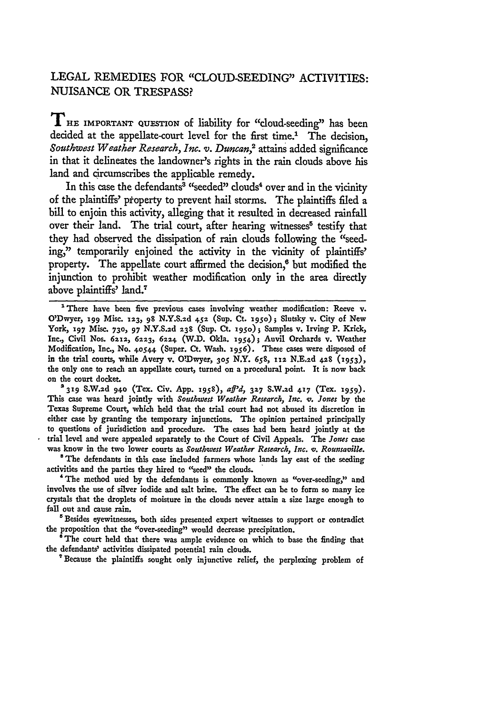## **LEGAL** REMEDIES FOR **"CLOUD-SEEDING" ACTIVITIES: NUISANCE** OR **TRESPASS?**

**T**HE IMPORTANT QUESTION of liability for "cloud-seeding" has been decided at the appellate-court level for the first time.' The decision, *Southwest Weather Research, Inc. v. Duncan,2* attaims added significance in that it delineates the landowner's rights in the rain clouds above his land and circumscribes the applicable remedy.

In this case the defendants<sup>3</sup> "seeded" clouds<sup>4</sup> over and in the vicinity of the plaintiffs' pfoperty to prevent hail storms. The plaintiffs filed a bill to enjoin this activity, alleging that it resulted in decreased rainfall over their land. The trial court, after hearing witnesses<sup>5</sup> testify that they had observed the dissipation of rain clouds following the "seeding," temporarily enjoined the activity in the vicinity of plaintiffs' property. The appellate court affirmed the decision, $6$  but modified the injunction to prohibit weather modification only in the area directly above plaintiffs' land.7

'There have been five previous cases involving weather modification: Reeve v. O'Dwyer, **199** Misc. **123, 98 N.Y.S.2d 452 (Sup. Ct. x95o);** Slutsky v. City of New York, 197 Misc. 730, 97 N.Y.S.2d 238 (Sup. Ct. 1950) ; Samples v. Irving P. Krick, Inc., Civil Nos. 6212, 6223, 6224 (W.D. Okla. 1954); Anvil Orchards v. Weather Modification, Inc., No. 4o544 (Super. Ct. Wash. 1956). These cases were disposed of in the trial courts, while Avery v. ODwyer, **305** N.Y. **658, ixz N.E.2d 428 (953),** the only one to reach an appellate court, turned on a procedural point. It is now back on the court docket.

*<sup>2319</sup>***S.W.zd 940** (Tex. Civ. App. **1958),** *a'd,* **<sup>327</sup>**S.W.zd **417** (Tex. x959). This case was heard jointly with *Southwest Weather Research, Inc. v. Jones* **by** the Texas Supreme Court, which held that the trial court had not abused its discretion in either case **by** granting the temporary injunctions. The opinion pertained principally to questions of jurisdiction and procedure. The cases had been heard jointly at the trial level and were appealed separately to the Court of Civil Appeals. The *Jones* case was know in the two lower courts as *Southwest Weather Research*, Inc.  $\varphi$ . Rounsaville.

**"** The defendants in this case included farmers whose lands lay east of the seeding activities and the parties they hired to "seed" the clouds.

' The method used **by** the defendants is commonly known as "over-seeding," and involves the use of silver iodide and salt brine. The effect can be to form so many ice crystals that the droplets of moisture in the clouds never attain a size large enough to fall out and cause rain.

**'Besides** eyewitnesses, both sides presented expert witnesses to support or contradict the proposition that the "over-seeding" would decrease precipitation.

**\*The** court held that there was ample evidence on which to base the finding that the defendants' activities dissipated potential rain clouds.

'Because the plaintiffs sought only injunctive relief, the perplexing problem of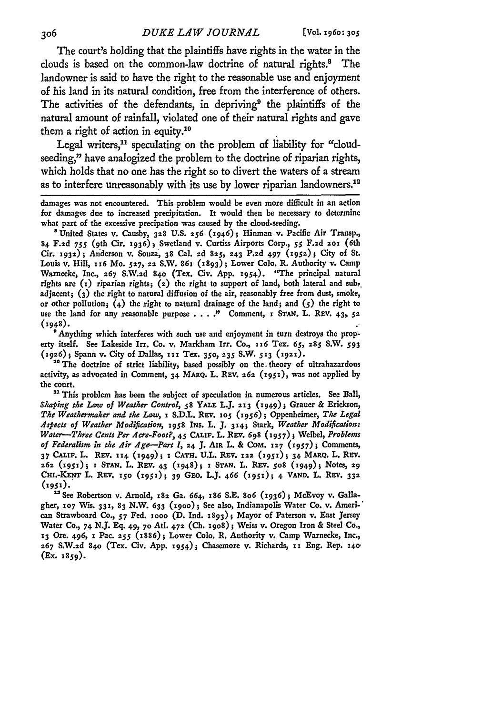The court's holding that the plaintiffs have rights in the water in the clouds is based on the common-law doctrine of natural rights.<sup>8</sup> The landowner is said to have the right to the reasonable use and enjoyment of his land in its natural condition, free from the interference of others. The activities of the defendants, in depriving<sup>9</sup> the plaintiffs of the natural amount of rainfall, violated one of their natural rights and gave them a right of action in equity.10

Legal writers,<sup>11</sup> speculating on the problem of liability for "cloudseeding," have analogized the problem to the doctrine of riparian rights, which holds that no one has the right so to divert the waters of a stream as to interfere unreasonably with its use by lower riparian landowners.<sup>1</sup>

damages was not encountered. This problem would be even more difficult in an action for damages due to increased precipitation. It would then be necessary to determine what part of the excessive precipation was caused **by** the cloud-seeding.

**8** United States v. Causby, **328 U.s. 256** (1946); Hinman v. Pacific Air Transp., **84. F.2d** 755 (9 th Cir. **1936) j** Swetland v. Curtiss Airports Corp., 55 **F.2d 2o** (6th Cir. **1932);** Anderson v. Souza, **38** Cal. 2d **825, 243 P.ad** 497 **(1952);** City **of** St. Louis v. Hill, **116** Mo. **527, 22** S.W. **861 (1893);** Lower Colo. R. Authority v. Camp Warnecke, Inc., **267 S.W.2d 840** (Tex. Civ. **App. 1954).** "The principal natural rights are (i) riparian rights; **(2)** the right to support of land, both lateral and **sub.** adjacent; **(3)** the right to natural diffusion of the air, reasonably free from dust, smoke, or other pollution;  $(4)$  the right to natural drainage of the land; and  $(5)$  the right to use the land for any reasonable purpose . . . . " Comment, I STAN. L. REV. 43, 52 **(1948).**

'Anything which interferes with such use and enjoyment in turn destroys the property itself. See Lakeside Irr. Co. v. Markham Irr. Co., **x6** Tex. *65,* **285 S.W. 593 (x926);** Spann v. City of Dallas, III Tex. **350,2 35 S.W. S13** *(1921).*

<sup>10</sup> The doctrine of strict liability, based possibly on the theory of ultrahazardous activity, as advocated in Comment, **34** MARQ. **L.** REV. *262* **(1951),** was not applied **by** the court.

**"** This problem has been the subject of speculation in numerous articles. See **Ball,** *Shaping the Law of Weather Control,* **58** YALE L.J. **213 (1949)3** Grauer **&** Erickson, *The Weathermaker and the Law,* **i S.D.L.** REV. **1o5 (1956);** Oppenheimer, *The Legal 4spects of Weather Modification,* **1958 INS.** L. **J. 314;** Stark, *Weather Modification: Water-Three Cents Per Acre-Foot?,* 45 **CALIF.** L. Rav. **698** *(1957) ;* Weibel, *Problems of Federalism in the Air Age-Part I*, 24 J. AIR L. & COM. 127 (1957); Comments, 37 CALIF. L. REV. 114 (1949); *I CATH. U.L. REV. 122* (1951); 34 MARQ. L. REV. **262** *(1951);* **1 STAN. L. REV.** 43 **(1948); I STAN. L. REV. 508 (1949)1 Notes, 29 CmI.-KENT** L. **Ray. 150 (1951); 39** Gao. L.J. 466 **(1951);** 4 **VAND.** L. Ra,. **332 (1951).**

"See Robertson v. Arnold, **182** Ga. 664, *x86* **S.E.** *8o6* **(1936);** McEvoy v. Gallagher, **107** Wis. **331, 83** N.W. **633 (i9oo);** See also, Indianapolis Water Co. v. **Amern.'** can Strawboard **Co.,** *57* Fed. iooo **(D. Ind. 1893);** Mayor of Paterson v. East Jersey Water **Co., 74 N.J. Eq.** 49, **70** Atl. **472 (Ch. 19o8);** Weiss v. Oregon Iron & Steel Co., **<sup>13</sup>**Ore. 496, 1 Pac. *255* **(1886);** Lower **Colo.** R. Authority v. Camp Warnecke, Inc., **267 S.W.2d 840** (Tex. Civ. App. **1954);** Chasemore v. Richards, **xx** Eng. Rep. **140** (Ex. **1859).**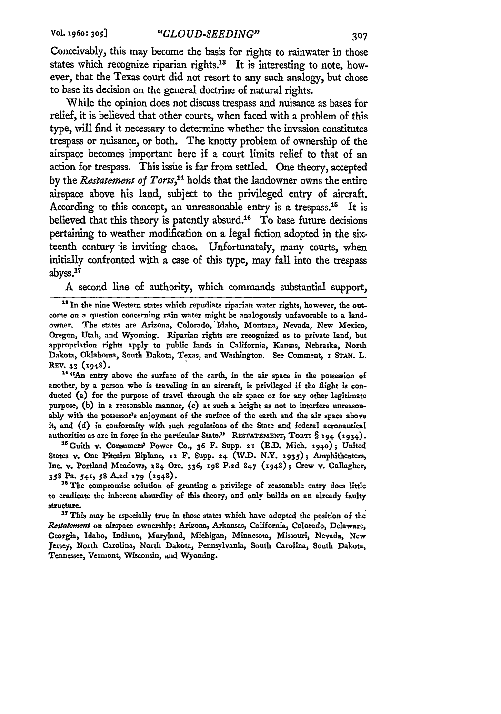Conceivably, this may become the basis for rights to rainwater in those states which recognize riparian rights.<sup>13</sup> It is interesting to note, however, that the Texas court did not resort to any such analogy, but chose to base its decision on the general doctrine of natural rights.

While the opinion does not discuss trespass and nuisance as bases for relief, it is believed that other courts, when faced with a problem of this type, will find it necessary to determine whether the invasion constitutes trespass or nuisance, or both. The knotty problem of ownership of the airspace becomes important here if a court limits relief to that of an action for trespass. This issue is far from settled. One theory, accepted **by** the *Restatement of Torts,4* holds that the landowner owns the entire airspace above his land, subject to the privileged entry of aircraft. According to this concept, an unreasonable entry is a trespass.<sup>15</sup> It is believed that this theory is patently absurd.<sup>16</sup> To base future decisions pertaining to weather modification on a legal fiction adopted in the sixteenth century is inviting chaos. Unfortunately, many courts, when initially confronted with a case of this type, may fall into the trespass abyss.<sup>17</sup>

A second line of authority, which commands substantial support,

<sup>14</sup> "An entry above the surface of the earth, in the air space in the possession of another, **by** a person who is traveling in an aircraft, is privileged if the flight is conducted **(a)** for the purpose of travel through the air space or for any other legitimate purpose, **(b)** in a reasonable manner, (c) at such a height as not to interfere unreasonably with the possessor's enjoyment of the surface of the earth and the air space above it, and **(d)** in conformity with such regulations of the State and federal aeronautical authorities as are in force in the particular State." **RESTATEMENT,** ToRTS § **194 (1934).**

<sup>15</sup> Guith v. Consumers' Power Co., 36 F. Supp. 21 (E.D. Mich. 1940); United States v. One Pitcairn Biplane, **11** F. **Supp.** 24. (W.D. N.Y. **1935)** Amphitheaters, Inc. v. Portland Meadows, 184 Ore. 336, 198 **P.2d** 847 (x948); Crew v. Gallagher, **358** Pa. **54I, 58 A.2d 179** (7948).

<sup>16</sup> The compromise solution of granting a privilege of reasonable entry does little to eradicate the inherent absurdity of this theory, and only builds on an already faulty structure.

<sup>17</sup> This may be especially true in those states which have adopted the position of the *Restatxet* on airspace ownership: Arizona, Arkansas, California, Colorado, Delaware, Georgia, Idaho, Indiana, Maryland, Michigan, Minnesota, Missouri, Nevada, New Jersey, North Carolina, North Dakota, Pennsylvania, South Carolina, South Dakota, Tennessee, Vermont, Wisconsin, and Wyoming.

<sup>&</sup>lt;sup>18</sup> In the nine Western states which repudiate riparian water rights, however, the outcome on a question concerning rain water might be analogously unfavorable to a landowner. The states are Arizona, Colorado,'Idaho, Montana, Nevada, New Mexico, Oregon, Utah, and Wyoming. Riparian rights are recognized as to private land, but appropriation rights apply to public lands in California, Kansas, Nebraska, North Dakota, Oklahoma, South Dakota, Texas, and Washington. See Comment, **I STAN.** L. REV. 43 **(1948).**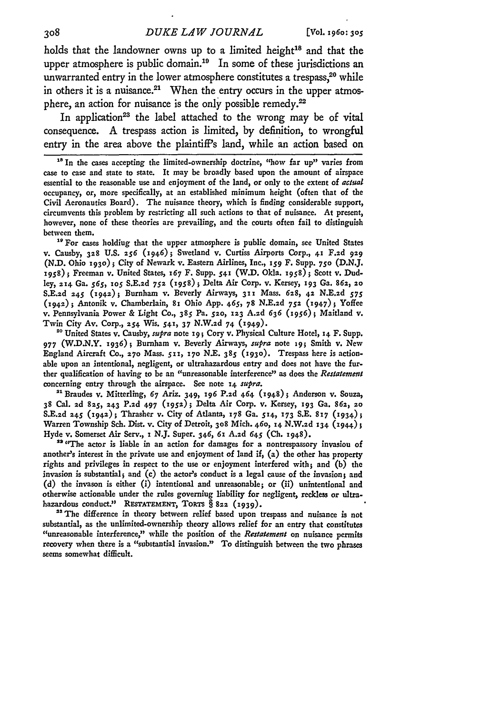holds that the landowner owns up to a limited height<sup>18</sup> and that the upper atmosphere is public domain.<sup>19</sup> In some of these jurisdictions an unwarranted entry in the lower atmosphere constitutes a trespass,<sup>20</sup> while in others it is a nuisance.<sup>21</sup> When the entry occurs in the upper atmosphere, an action for nuisance is the only possible **remedy. <sup>22</sup>**

In application<sup>23</sup> the label attached to the wrong may be of vital consequence. **A** trespass action is limited, **by** definition, to wrongful entry in the area above the plaintiff's land, while an action based on

<sup>18</sup> In the cases accepting the limited-ownership doctrine, "how far up" varies from case to case and state to state. It may be broadly based upon the amount of airspace essential to the reasonable use and enjoyment of the land, or only to the extent of actual occupancy, or, more specifically, at an established minimum height (often that of the Civil Aeronautics Board). The nuisance theory, which is finding considerable support, circumvents this problem by restricting all such actions to that of nuisance. At present, however, none of these theories are prevailing, and the courts often fail to distinguish between them.

<sup>19</sup> For cases holdiug that the upper atmosphere is public domain, see United States v. Causby, **328 U.S.** *256* (1946); Swetland v. Curtiss Airports Corp., **41 F.2d 929 (N.D.** Ohio **1930);** City of Newark v. Eastern Airlines, Inc., **159** F. Supp. **750 (D.N.J. 1958);** Freeman v. United States, 167 F. Supp. **541** (W.D. Okla. 1958); Scott v. Dudley, **714** Ga. *565, 105* **S.E.zd 752** *(1958);* Delta Air Corp. v. Kersey, **193** Ga. **862, ao S.E.zd 245** (194z)i Burnham v. Beverly Airways, **321** Mass. **678, 42 N.E.2d** *575* **(i942);** Antonik v. Chamberlain, **81** Ohio App. 465, 78 N.E.zd **752** (1947); Yoffee v. Pennsylvania Power **&** Light **Co.,** *385* Pa. **52o, 123 A.ad** *636* (1956); Maitland **v.** Twin City Av. Corp., **254** Wis. 541, **37 N.W.zd** 74 *(949).*

<sup>20</sup> United States v. Causby, *supra* note 19; Cory v. Physical Culture Hotel, 14 F. Supp. 977 (W.D.N.Y. 1936); Burnham v. Beverly Airways, *supra* note 19; Smith v. New England Aircraft Co., **270** Mass. **511, 17o N.E.** *385* **(1930).** Trespass here is actionable upon an intentional, negligent, or ultrahazardous entry and does not have the further qualification of having to **be** an "unreasonable interference" as does the *Restatement* concerning entry through the airspace. See note 14 *supra.*

"Brandes v. Mitterling, 67 Ariz. 349, **196 P.2d** 464 **(1948);** Anderson v. Souza, **38** Cal. **2d** 825, **243 P.2d** 497 *(2952);* Delta Air Corp. v. Kersey, **193** Ga. **862,** 2o **S.E.2d 245** (1942); Thrasher v. City of Atlanta, **178** Ga. 514, **173 S.E. 817** (1934); Warren Township Sch. Dist. v. City of Detroit, **308** Mich. **460,** 14 **N.W.2d 134** (1944); Hyde v. Somerset Air Serv., i N.J. Super. 346, 61 **A.2d** 645 **(Ch.** 1948).

<sup>29</sup> "The actor is liable in an action for damages for a nontrespassory invasiou of another's interest in the private use and enjoyment of land if,  $(a)$  the other has property rights and privileges in respect to the use or enjoyment interfered with; and **(b) the** invasion is substantial; and (c) the actor's conduct is a legal cause of the invasion; and **(d)** the invason is either (i) intentional and unreasonable; or (ii) unintentional and otherwise actionable under the rules governing liability for negligent, reckless or ultrahazardous conduct." RESTATEMENT, TORTS § 822 (1939).

<sup>23</sup> The difference in theory between relief based upon trespass and nuisance is not substantial, as the unlimited-ownership theory allows relief for an entry that constitutes "unreasonable interference," while the position of the *Restatement* on nuisance permits recovery when there is a "substantial invasion." To distinguish between the two phrases seems somewhat difficult.